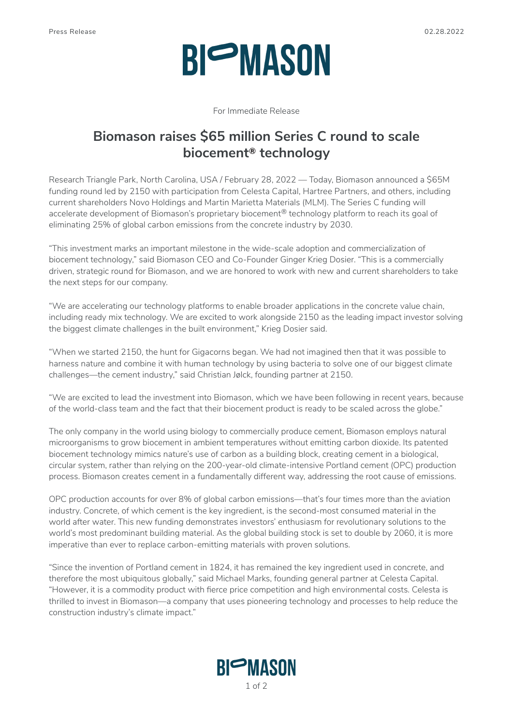# **BIOMASON**

For Immediate Release

### **Biomason raises \$65 million Series C round to scale biocement® technology**

Research Triangle Park, North Carolina, USA / February 28, 2022 — Today, Biomason announced a \$65M funding round led by 2150 with participation from Celesta Capital, Hartree Partners, and others, including current shareholders Novo Holdings and Martin Marietta Materials (MLM). The Series C funding will accelerate development of Biomason's proprietary biocement<sup>®</sup> technology platform to reach its goal of eliminating 25% of global carbon emissions from the concrete industry by 2030.

"This investment marks an important milestone in the wide-scale adoption and commercialization of biocement technology," said Biomason CEO and Co-Founder Ginger Krieg Dosier. "This is a commercially driven, strategic round for Biomason, and we are honored to work with new and current shareholders to take the next steps for our company.

"We are accelerating our technology platforms to enable broader applications in the concrete value chain, including ready mix technology. We are excited to work alongside 2150 as the leading impact investor solving the biggest climate challenges in the built environment," Krieg Dosier said.

"When we started 2150, the hunt for Gigacorns began. We had not imagined then that it was possible to harness nature and combine it with human technology by using bacteria to solve one of our biggest climate challenges—the cement industry," said Christian Jølck, founding partner at 2150.

"We are excited to lead the investment into Biomason, which we have been following in recent years, because of the world-class team and the fact that their biocement product is ready to be scaled across the globe."

The only company in the world using biology to commercially produce cement, Biomason employs natural microorganisms to grow biocement in ambient temperatures without emitting carbon dioxide. Its patented biocement technology mimics nature's use of carbon as a building block, creating cement in a biological, circular system, rather than relying on the 200-year-old climate-intensive Portland cement (OPC) production process. Biomason creates cement in a fundamentally different way, addressing the root cause of emissions.

OPC production accounts for over 8% of global carbon emissions—that's four times more than the aviation industry. Concrete, of which cement is the key ingredient, is the second-most consumed material in the world after water. This new funding demonstrates investors' enthusiasm for revolutionary solutions to the world's most predominant building material. As the global building stock is set to double by 2060, it is more imperative than ever to replace carbon-emitting materials with proven solutions.

"Since the invention of Portland cement in 1824, it has remained the key ingredient used in concrete, and therefore the most ubiquitous globally," said Michael Marks, founding general partner at Celesta Capital. "However, it is a commodity product with fierce price competition and high environmental costs. Celesta is thrilled to invest in Biomason—a company that uses pioneering technology and processes to help reduce the construction industry's climate impact."